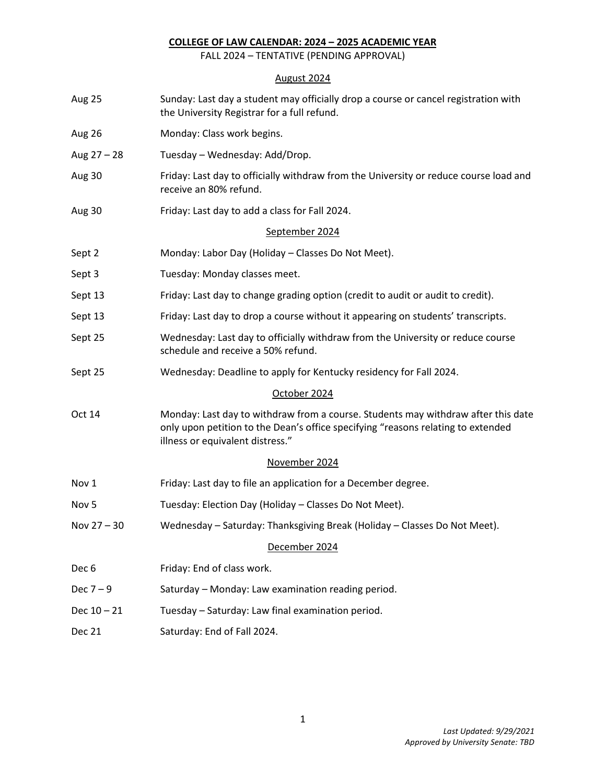### **COLLEGE OF LAW CALENDAR: 2024 – 2025 ACADEMIC YEAR**

FALL 2024 – TENTATIVE (PENDING APPROVAL)

# August 2024

| Aug 25           | Sunday: Last day a student may officially drop a course or cancel registration with<br>the University Registrar for a full refund.                                                                        |  |
|------------------|-----------------------------------------------------------------------------------------------------------------------------------------------------------------------------------------------------------|--|
| Aug 26           | Monday: Class work begins.                                                                                                                                                                                |  |
| Aug $27 - 28$    | Tuesday - Wednesday: Add/Drop.                                                                                                                                                                            |  |
| Aug 30           | Friday: Last day to officially withdraw from the University or reduce course load and<br>receive an 80% refund.                                                                                           |  |
| Aug 30           | Friday: Last day to add a class for Fall 2024.                                                                                                                                                            |  |
|                  | September 2024                                                                                                                                                                                            |  |
| Sept 2           | Monday: Labor Day (Holiday - Classes Do Not Meet).                                                                                                                                                        |  |
| Sept 3           | Tuesday: Monday classes meet.                                                                                                                                                                             |  |
| Sept 13          | Friday: Last day to change grading option (credit to audit or audit to credit).                                                                                                                           |  |
| Sept 13          | Friday: Last day to drop a course without it appearing on students' transcripts.                                                                                                                          |  |
| Sept 25          | Wednesday: Last day to officially withdraw from the University or reduce course<br>schedule and receive a 50% refund.                                                                                     |  |
| Sept 25          | Wednesday: Deadline to apply for Kentucky residency for Fall 2024.                                                                                                                                        |  |
|                  | October 2024                                                                                                                                                                                              |  |
| Oct 14           | Monday: Last day to withdraw from a course. Students may withdraw after this date<br>only upon petition to the Dean's office specifying "reasons relating to extended<br>illness or equivalent distress." |  |
|                  | November 2024                                                                                                                                                                                             |  |
| Nov 1            | Friday: Last day to file an application for a December degree.                                                                                                                                            |  |
| Nov <sub>5</sub> | Tuesday: Election Day (Holiday - Classes Do Not Meet).                                                                                                                                                    |  |
| Nov 27 - 30      | Wednesday - Saturday: Thanksgiving Break (Holiday - Classes Do Not Meet).                                                                                                                                 |  |
|                  | December 2024                                                                                                                                                                                             |  |
| Dec <sub>6</sub> | Friday: End of class work.                                                                                                                                                                                |  |
| Dec $7-9$        | Saturday - Monday: Law examination reading period.                                                                                                                                                        |  |
| Dec $10 - 21$    | Tuesday - Saturday: Law final examination period.                                                                                                                                                         |  |
| Dec 21           | Saturday: End of Fall 2024.                                                                                                                                                                               |  |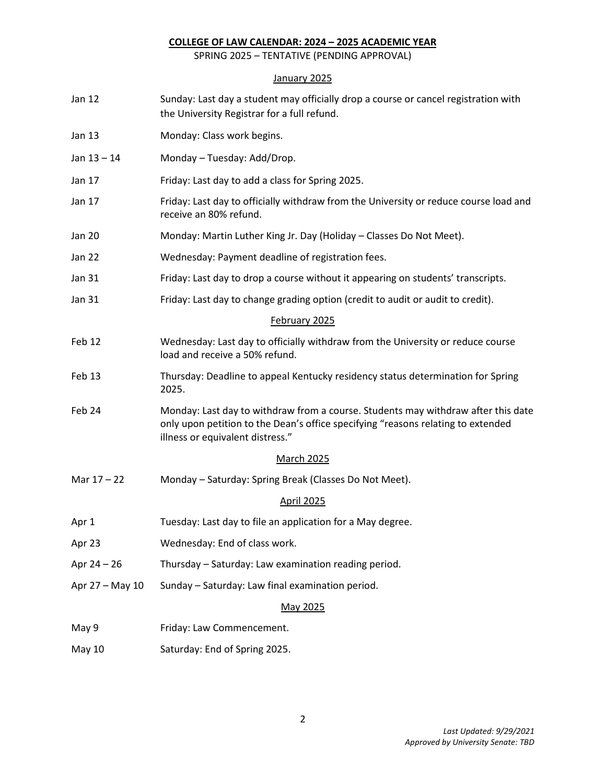#### **COLLEGE OF LAW CALENDAR: 2024 – 2025 ACADEMIC YEAR**

SPRING 2025 – TENTATIVE (PENDING APPROVAL)

# January 2025

| Jan 12          | Sunday: Last day a student may officially drop a course or cancel registration with<br>the University Registrar for a full refund.                                                                        |  |
|-----------------|-----------------------------------------------------------------------------------------------------------------------------------------------------------------------------------------------------------|--|
| Jan 13          | Monday: Class work begins.                                                                                                                                                                                |  |
| Jan $13 - 14$   | Monday - Tuesday: Add/Drop.                                                                                                                                                                               |  |
| Jan 17          | Friday: Last day to add a class for Spring 2025.                                                                                                                                                          |  |
| Jan 17          | Friday: Last day to officially withdraw from the University or reduce course load and<br>receive an 80% refund.                                                                                           |  |
| <b>Jan 20</b>   | Monday: Martin Luther King Jr. Day (Holiday - Classes Do Not Meet).                                                                                                                                       |  |
| <b>Jan 22</b>   | Wednesday: Payment deadline of registration fees.                                                                                                                                                         |  |
| <b>Jan 31</b>   | Friday: Last day to drop a course without it appearing on students' transcripts.                                                                                                                          |  |
| <b>Jan 31</b>   | Friday: Last day to change grading option (credit to audit or audit to credit).                                                                                                                           |  |
|                 | February 2025                                                                                                                                                                                             |  |
| Feb 12          | Wednesday: Last day to officially withdraw from the University or reduce course<br>load and receive a 50% refund.                                                                                         |  |
| Feb 13          | Thursday: Deadline to appeal Kentucky residency status determination for Spring<br>2025.                                                                                                                  |  |
| Feb 24          | Monday: Last day to withdraw from a course. Students may withdraw after this date<br>only upon petition to the Dean's office specifying "reasons relating to extended<br>illness or equivalent distress." |  |
|                 | <b>March 2025</b>                                                                                                                                                                                         |  |
| Mar 17 - 22     | Monday - Saturday: Spring Break (Classes Do Not Meet).                                                                                                                                                    |  |
|                 | <b>April 2025</b>                                                                                                                                                                                         |  |
| Apr 1           | Tuesday: Last day to file an application for a May degree.                                                                                                                                                |  |
| Apr 23          | Wednesday: End of class work.                                                                                                                                                                             |  |
| Apr $24 - 26$   | Thursday - Saturday: Law examination reading period.                                                                                                                                                      |  |
| Apr 27 - May 10 | Sunday - Saturday: Law final examination period.                                                                                                                                                          |  |
|                 | May 2025                                                                                                                                                                                                  |  |
| May 9           | Friday: Law Commencement.                                                                                                                                                                                 |  |
| <b>May 10</b>   | Saturday: End of Spring 2025.                                                                                                                                                                             |  |